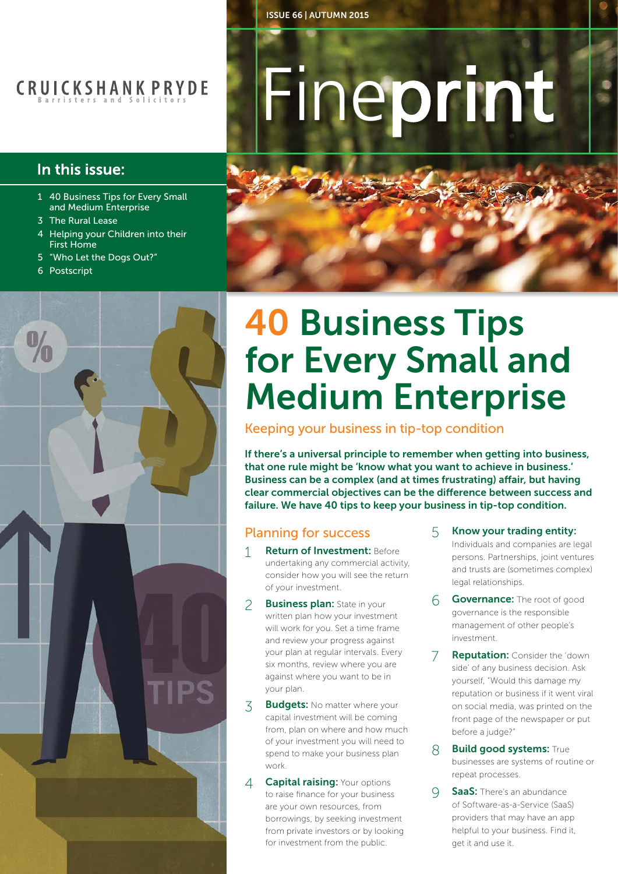# **CRUICKSHANK PRYDE**

# In this issue:

- 1 40 Business Tips for Every Small and Medium Enterprise
- 3 The Rural Lease
- 4 Helping your Children into their First Home
- 5 "Who Let the Dogs Out?"
- 6 Postscript

# Fineprint

ISSUE 66 | AUTUMN 2015

# 40 Business Tips for Every Small and Medium Enterprise

Keeping your business in tip-top condition

If there's a universal principle to remember when getting into business, that one rule might be 'know what you want to achieve in business.' Business can be a complex (and at times frustrating) affair, but having clear commercial objectives can be the difference between success and failure. We have 40 tips to keep your business in tip-top condition.

# Planning for success

- 1 **Return of Investment: Before** undertaking any commercial activity, consider how you will see the return of your investment.
- 2 Business plan: State in your written plan how your investment will work for you. Set a time frame and review your progress against your plan at regular intervals. Every six months, review where you are against where you want to be in your plan.
- 3 Budgets: No matter where your capital investment will be coming from, plan on where and how much of your investment you will need to spend to make your business plan work.
- $\Delta$  **Capital raising:** Your options to raise finance for your business are your own resources, from borrowings, by seeking investment from private investors or by looking for investment from the public.
- 5 Know your trading entity: Individuals and companies are legal persons. Partnerships, joint ventures and trusts are (sometimes complex) legal relationships.
- 6 Governance: The root of good governance is the responsible management of other people's investment.
- 7 Reputation: Consider the 'down side' of any business decision. Ask yourself, "Would this damage my reputation or business if it went viral on social media, was printed on the front page of the newspaper or put before a judge?"
- 8 Build good systems: True businesses are systems of routine or repeat processes.
- 9 SaaS: There's an abundance of Software-as-a-Service (SaaS) providers that may have an app helpful to your business. Find it, get it and use it.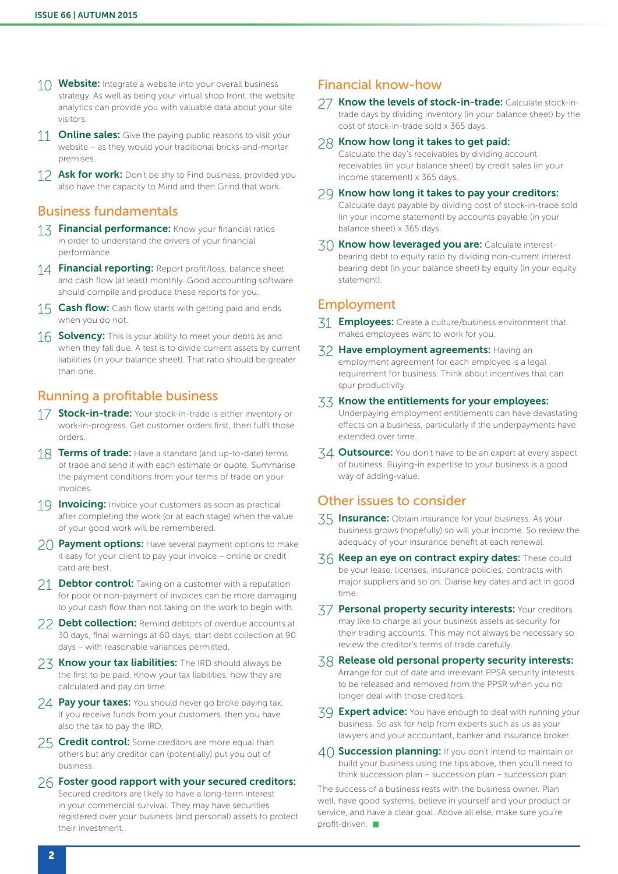- $10$  Website: Integrate a website into your overall business strategy. As well as being your virtual shop front, the website analytics can provide you with valuable data about your site visitors.
- 11 **Online sales:** Give the paying public reasons to visit your website – as they would your traditional bricks-and-mortar premises.
- 12 Ask for work: Don't be shy to Find business, provided you also have the capacity to Mind and then Grind that work.

### Business fundamentals

- 13 Financial performance: Know your financial ratios in order to understand the drivers of your financial performance.
- 14 **Financial reporting:** Report profit/loss, balance sheet and cash flow (at least) monthly. Good accounting software should compile and produce these reports for you.
- 15 Cash flow: Cash flow starts with getting paid and ends when you do not.
- 16 Solvency: This is your ability to meet your debts as and when they fall due. A test is to divide current assets by current liabilities (in your balance sheet). That ratio should be greater than one.

#### Running a profitable business

- 17 Stock-in-trade: Your stock-in-trade is either inventory or work-in-progress. Get customer orders first, then fulfil those orders.
- 18 Terms of trade: Have a standard (and up-to-date) terms of trade and send it with each estimate or quote. Summarise the payment conditions from your terms of trade on your invoices.
- 19 **Invoicing:** Invoice your customers as soon as practical after completing the work (or at each stage) when the value of your good work will be remembered.
- $20$  Payment options: Have several payment options to make it easy for your client to pay your invoice – online or credit card are best.
- 21 Debtor control: Taking on a customer with a reputation for poor or non-payment of invoices can be more damaging to your cash flow than not taking on the work to begin with.
- 22 Debt collection: Remind debtors of overdue accounts at 30 days, final warnings at 60 days, start debt collection at 90 days – with reasonable variances permitted.
- 23 Know your tax liabilities: The IRD should always be the first to be paid. Know your tax liabilities, how they are calculated and pay on time.
- 24 Pay your taxes: You should never go broke paying tax. If you receive funds from your customers, then you have also the tax to pay the IRD.
- 25 Credit control: Some creditors are more equal than others but any creditor can (potentially) put you out of business.
- $26$  Foster good rapport with your secured creditors: Secured creditors are likely to have a long-term interest in your commercial survival. They may have securities registered over your business (and personal) assets to protect their investment.

#### Financial know-how

- 27 Know the levels of stock-in-trade: Calculate stock-intrade days by dividing inventory (in your balance sheet) by the cost of stock-in-trade sold x 365 days.
- 28 Know how long it takes to get paid: Calculate the day's receivables by dividing account receivables (in your balance sheet) by credit sales (in your income statement) x 365 days.
- 29 Know how long it takes to pay your creditors: Calculate days payable by dividing cost of stock-in-trade sold (in your income statement) by accounts payable (in your balance sheet) x 365 days.
- 30 Know how leveraged you are: Calculate interestbearing debt to equity ratio by dividing non-current interest bearing debt (in your balance sheet) by equity (in your equity statement).

### Employment

- 31 **Employees:** Create a culture/business environment that makes employees want to work for you.
- 32 Have employment agreements: Having an employment agreement for each employee is a legal requirement for business. Think about incentives that can spur productivity.

#### 33 Know the entitlements for your employees: Underpaying employment entitlements can have devastating

effects on a business, particularly if the underpayments have extended over time.

34 Outsource: You don't have to be an expert at every aspect of business. Buying-in expertise to your business is a good way of adding-value.

### Other issues to consider

- 35 **Insurance:** Obtain insurance for your business. As your business grows (hopefully) so will your income. So review the adequacy of your insurance benefit at each renewal.
- 36 Keep an eye on contract expiry dates: These could be your lease, licenses, insurance policies, contracts with major suppliers and so on. Diarise key dates and act in good time.
- 37 Personal property security interests: Your creditors may like to charge all your business assets as security for their trading accounts. This may not always be necessary so review the creditor's terms of trade carefully.
- $38$  Release old personal property security interests: Arrange for out of date and irrelevant PPSA security interests to be released and removed from the PPSR when you no longer deal with those creditors.
- 39 Expert advice: You have enough to deal with running your business. So ask for help from experts such as us as your lawyers and your accountant, banker and insurance broker.
- 40 Succession planning: If you don't intend to maintain or build your business using the tips above, then you'll need to think succession plan – succession plan – succession plan.

The success of a business rests with the business owner. Plan well, have good systems, believe in yourself and your product or service, and have a clear goal. Above all else, make sure you're profit-driven.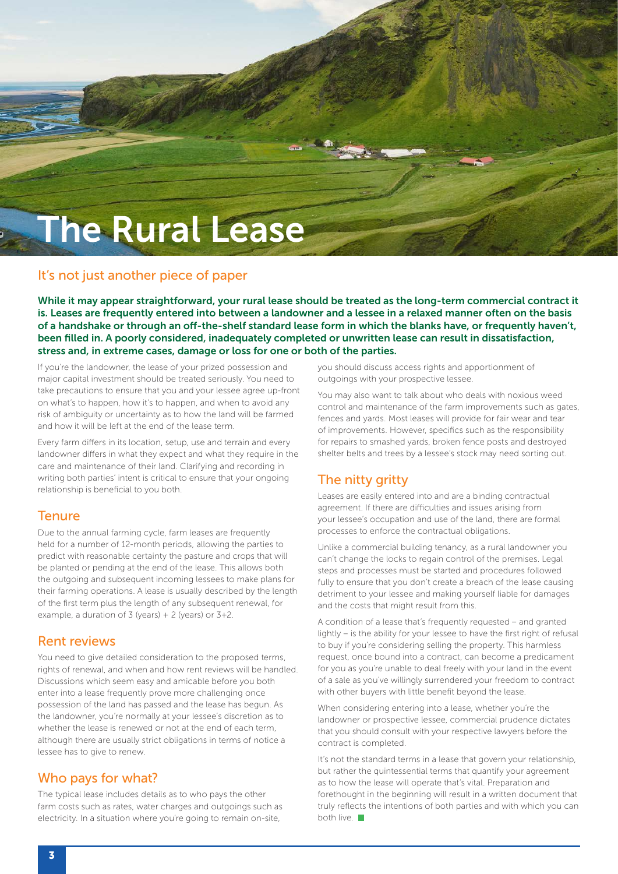# The Rural Lease

# It's not just another piece of paper

While it may appear straightforward, your rural lease should be treated as the long-term commercial contract it is. Leases are frequently entered into between a landowner and a lessee in a relaxed manner often on the basis of a handshake or through an off-the-shelf standard lease form in which the blanks have, or frequently haven't, been filled in. A poorly considered, inadequately completed or unwritten lease can result in dissatisfaction, stress and, in extreme cases, damage or loss for one or both of the parties.

If you're the landowner, the lease of your prized possession and major capital investment should be treated seriously. You need to take precautions to ensure that you and your lessee agree up-front on what's to happen, how it's to happen, and when to avoid any risk of ambiguity or uncertainty as to how the land will be farmed and how it will be left at the end of the lease term.

Every farm differs in its location, setup, use and terrain and every landowner differs in what they expect and what they require in the care and maintenance of their land. Clarifying and recording in writing both parties' intent is critical to ensure that your ongoing relationship is beneficial to you both.

### **Tenure**

Due to the annual farming cycle, farm leases are frequently held for a number of 12-month periods, allowing the parties to predict with reasonable certainty the pasture and crops that will be planted or pending at the end of the lease. This allows both the outgoing and subsequent incoming lessees to make plans for their farming operations. A lease is usually described by the length of the first term plus the length of any subsequent renewal, for example, a duration of  $3$  (years) + 2 (years) or  $3+2$ .

# Rent reviews

You need to give detailed consideration to the proposed terms, rights of renewal, and when and how rent reviews will be handled. Discussions which seem easy and amicable before you both enter into a lease frequently prove more challenging once possession of the land has passed and the lease has begun. As the landowner, you're normally at your lessee's discretion as to whether the lease is renewed or not at the end of each term, although there are usually strict obligations in terms of notice a lessee has to give to renew.

# Who pays for what?

The typical lease includes details as to who pays the other farm costs such as rates, water charges and outgoings such as electricity. In a situation where you're going to remain on-site,

you should discuss access rights and apportionment of outgoings with your prospective lessee.

You may also want to talk about who deals with noxious weed control and maintenance of the farm improvements such as gates, fences and yards. Most leases will provide for fair wear and tear of improvements. However, specifics such as the responsibility for repairs to smashed yards, broken fence posts and destroyed shelter belts and trees by a lessee's stock may need sorting out.

# The nitty gritty

Leases are easily entered into and are a binding contractual agreement. If there are difficulties and issues arising from your lessee's occupation and use of the land, there are formal processes to enforce the contractual obligations.

Unlike a commercial building tenancy, as a rural landowner you can't change the locks to regain control of the premises. Legal steps and processes must be started and procedures followed fully to ensure that you don't create a breach of the lease causing detriment to your lessee and making yourself liable for damages and the costs that might result from this.

A condition of a lease that's frequently requested – and granted lightly – is the ability for your lessee to have the first right of refusal to buy if you're considering selling the property. This harmless request, once bound into a contract, can become a predicament for you as you're unable to deal freely with your land in the event of a sale as you've willingly surrendered your freedom to contract with other buyers with little benefit beyond the lease.

When considering entering into a lease, whether you're the landowner or prospective lessee, commercial prudence dictates that you should consult with your respective lawyers before the contract is completed.

It's not the standard terms in a lease that govern your relationship, but rather the quintessential terms that quantify your agreement as to how the lease will operate that's vital. Preparation and forethought in the beginning will result in a written document that truly reflects the intentions of both parties and with which you can both live.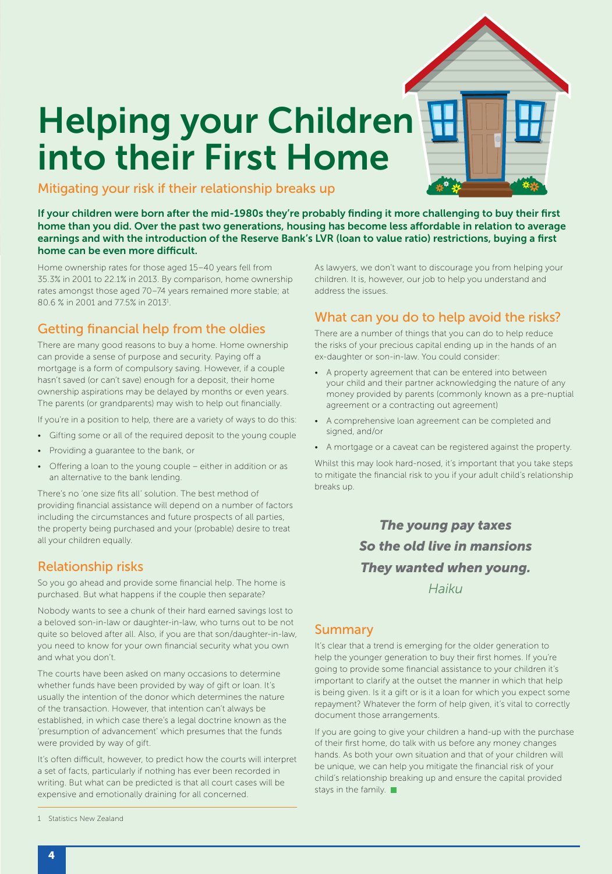# Helping your Children into their First Home



Mitigating your risk if their relationship breaks up

If your children were born after the mid-1980s they're probably finding it more challenging to buy their first home than you did. Over the past two generations, housing has become less affordable in relation to average earnings and with the introduction of the Reserve Bank's LVR (loan to value ratio) restrictions, buying a first home can be even more difficult.

Home ownership rates for those aged 15–40 years fell from 35.3% in 2001 to 22.1% in 2013. By comparison, home ownership rates amongst those aged 70–74 years remained more stable; at 80.6 % in 2001 and 77.5% in 2013<sup>1</sup>.

# Getting financial help from the oldies

There are many good reasons to buy a home. Home ownership can provide a sense of purpose and security. Paying off a mortgage is a form of compulsory saving. However, if a couple hasn't saved (or can't save) enough for a deposit, their home ownership aspirations may be delayed by months or even years. The parents (or grandparents) may wish to help out financially.

If you're in a position to help, there are a variety of ways to do this:

- Gifting some or all of the required deposit to the young couple
- Providing a guarantee to the bank, or
- Offering a loan to the young couple either in addition or as an alternative to the bank lending.

There's no 'one size fits all' solution. The best method of providing financial assistance will depend on a number of factors including the circumstances and future prospects of all parties, the property being purchased and your (probable) desire to treat all your children equally.

# Relationship risks

So you go ahead and provide some financial help. The home is purchased. But what happens if the couple then separate?

Nobody wants to see a chunk of their hard earned savings lost to a beloved son-in-law or daughter-in-law, who turns out to be not quite so beloved after all. Also, if you are that son/daughter-in-law, you need to know for your own financial security what you own and what you don't.

The courts have been asked on many occasions to determine whether funds have been provided by way of gift or loan. It's usually the intention of the donor which determines the nature of the transaction. However, that intention can't always be established, in which case there's a legal doctrine known as the 'presumption of advancement' which presumes that the funds were provided by way of gift.

It's often difficult, however, to predict how the courts will interpret a set of facts, particularly if nothing has ever been recorded in writing. But what can be predicted is that all court cases will be expensive and emotionally draining for all concerned.

As lawyers, we don't want to discourage you from helping your children. It is, however, our job to help you understand and address the issues.

# What can you do to help avoid the risks?

There are a number of things that you can do to help reduce the risks of your precious capital ending up in the hands of an ex-daughter or son-in-law. You could consider:

- A property agreement that can be entered into between your child and their partner acknowledging the nature of any money provided by parents (commonly known as a pre-nuptial agreement or a contracting out agreement)
- A comprehensive loan agreement can be completed and signed, and/or
- A mortgage or a caveat can be registered against the property.

Whilst this may look hard-nosed, it's important that you take steps to mitigate the financial risk to you if your adult child's relationship breaks up.

> *The young pay taxes So the old live in mansions They wanted when young. Haiku*

# Summary

It's clear that a trend is emerging for the older generation to help the younger generation to buy their first homes. If you're going to provide some financial assistance to your children it's important to clarify at the outset the manner in which that help is being given. Is it a gift or is it a loan for which you expect some repayment? Whatever the form of help given, it's vital to correctly document those arrangements.

If you are going to give your children a hand-up with the purchase of their first home, do talk with us before any money changes hands. As both your own situation and that of your children will be unique, we can help you mitigate the financial risk of your child's relationship breaking up and ensure the capital provided stays in the family.  $\blacksquare$ 

<sup>1</sup> Statistics New Zealand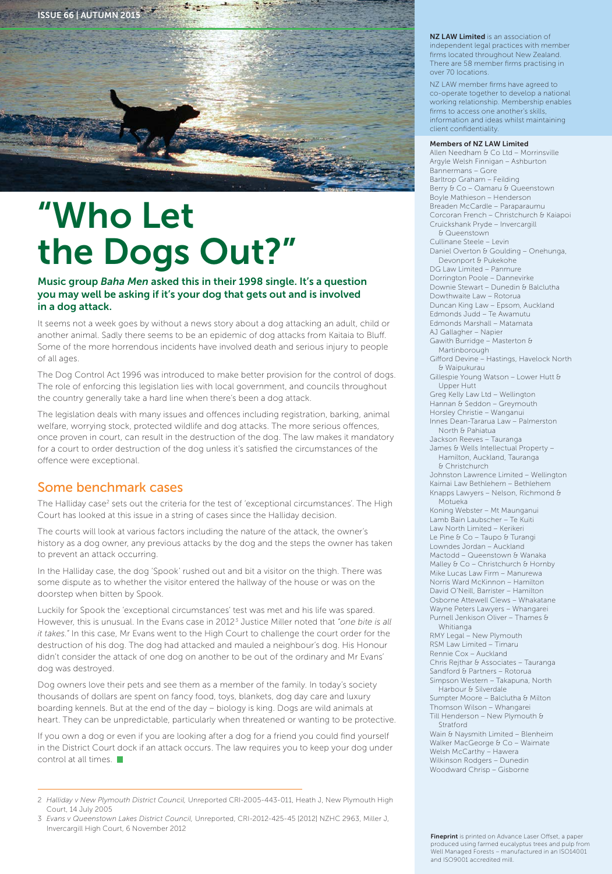

# "Who Let the Dogs Out?"

#### Music group *Baha Men* asked this in their 1998 single. It's a question you may well be asking if it's your dog that gets out and is involved in a dog attack.

It seems not a week goes by without a news story about a dog attacking an adult, child or another animal. Sadly there seems to be an epidemic of dog attacks from Kaitaia to Bluff. Some of the more horrendous incidents have involved death and serious injury to people of all ages.

The Dog Control Act 1996 was introduced to make better provision for the control of dogs. The role of enforcing this legislation lies with local government, and councils throughout the country generally take a hard line when there's been a dog attack.

The legislation deals with many issues and offences including registration, barking, animal welfare, worrying stock, protected wildlife and dog attacks. The more serious offences, once proven in court, can result in the destruction of the dog. The law makes it mandatory for a court to order destruction of the dog unless it's satisfied the circumstances of the offence were exceptional.

# Some benchmark cases

The Halliday case<sup>2</sup> sets out the criteria for the test of 'exceptional circumstances'. The High Court has looked at this issue in a string of cases since the Halliday decision.

The courts will look at various factors including the nature of the attack, the owner's history as a dog owner, any previous attacks by the dog and the steps the owner has taken to prevent an attack occurring.

In the Halliday case, the dog 'Spook' rushed out and bit a visitor on the thigh. There was some dispute as to whether the visitor entered the hallway of the house or was on the doorstep when bitten by Spook.

Luckily for Spook the 'exceptional circumstances' test was met and his life was spared. However, this is unusual. In the Evans case in 20123 Justice Miller noted that *"one bite is all it takes."* In this case, Mr Evans went to the High Court to challenge the court order for the destruction of his dog. The dog had attacked and mauled a neighbour's dog. His Honour didn't consider the attack of one dog on another to be out of the ordinary and Mr Evans' dog was destroyed.

Dog owners love their pets and see them as a member of the family. In today's society thousands of dollars are spent on fancy food, toys, blankets, dog day care and luxury boarding kennels. But at the end of the day – biology is king. Dogs are wild animals at heart. They can be unpredictable, particularly when threatened or wanting to be protective.

If you own a dog or even if you are looking after a dog for a friend you could find yourself in the District Court dock if an attack occurs. The law requires you to keep your dog under control at all times.  $\blacksquare$ 

NZ LAW Limited is an association of independent legal practices with member firms located throughout New Zealand. There are 58 member firms practising in over 70 locations.

NZ LAW member firms have agreed to co-operate together to develop a national working relationship. Membership enables firms to access one another's skills, information and ideas whilst maintaining client confidentiality.

#### Members of NZ LAW Limited

Allen Needham & Co Ltd - Morrinsville Argyle Welsh Finnigan – Ashburton Bannermans – Gore Barltrop Graham – Feilding Berry & Co - Oamaru & Queenstown Boyle Mathieson – Henderson Breaden McCardle – Paraparaumu Corcoran French – Christchurch & Kaiapoi Cruickshank Pryde – Invercargill & Queenstown Cullinane Steele – Levin Daniel Overton & Goulding – Onehunga, Devonport & Pukekohe DG Law Limited – Panmure Dorrington Poole – Dannevirke Downie Stewart – Dunedin & Balclutha Dowthwaite Law – Rotorua Duncan King Law – Epsom, Auckland Edmonds Judd – Te Awamutu Edmonds Marshall – Matamata AJ Gallagher – Napier Gawith Burridge – Masterton & Martinborough Gifford Devine – Hastings, Havelock North & Waipukurau Gillespie Young Watson – Lower Hutt & Upper Hutt Greg Kelly Law Ltd – Wellington Hannan & Seddon – Greymouth Horsley Christie – Wanganui Innes Dean-Tararua Law – Palmerston North & Pahiatua Jackson Reeves – Tauranga James & Wells Intellectual Property – Hamilton, Auckland, Tauranga & Christchurch Johnston Lawrence Limited – Wellington Kaimai Law Bethlehem – Bethlehem Knapps Lawyers – Nelson, Richmond & Motueka Koning Webster – Mt Maunganui Lamb Bain Laubscher – Te Kuiti Law North Limited – Kerikeri Le Pine & Co - Taupo & Turangi Lowndes Jordan – Auckland Mactodd – Queenstown & Wanaka Malley & Co – Christchurch & Hornby Mike Lucas Law Firm – Manurewa Norris Ward McKinnon – Hamilton David O'Neill, Barrister – Hamilton Osborne Attewell Clews – Whakatane Wayne Peters Lawyers – Whangarei Purnell Jenkison Oliver – Thames & Whitianga RMY Legal – New Plymouth RSM Law Limited – Timaru Rennie Cox – Auckland Chris Rejthar & Associates – Tauranga Sandford & Partners – Rotorua Simpson Western – Takapuna, North Harbour & Silverdale Sumpter Moore – Balclutha & Milton Thomson Wilson – Whangarei Till Henderson – New Plymouth  $\theta$ Stratford Wain & Naysmith Limited – Blenheim Walker MacGeorge & Co – Waimate Welsh McCarthy – Hawera Wilkinson Rodgers – Dunedin Woodward Chrisp – Gisborne

Fineprint is printed on Advance Laser Offset, a paper produced using farmed eucalyptus trees and pulp from Well Managed Forests – manufactured in an ISO14001 and ISO9001 accredited mill.

<sup>2</sup> *Halliday v New Plymouth District Council,* Unreported CRI-2005-443-011, Heath J, New Plymouth High Court, 14 July 2005

<sup>3</sup> *Evans v Queenstown Lakes District Council,* Unreported, CRI-2012-425-45 [2012] NZHC 2963, Miller J, Invercargill High Court, 6 November 2012